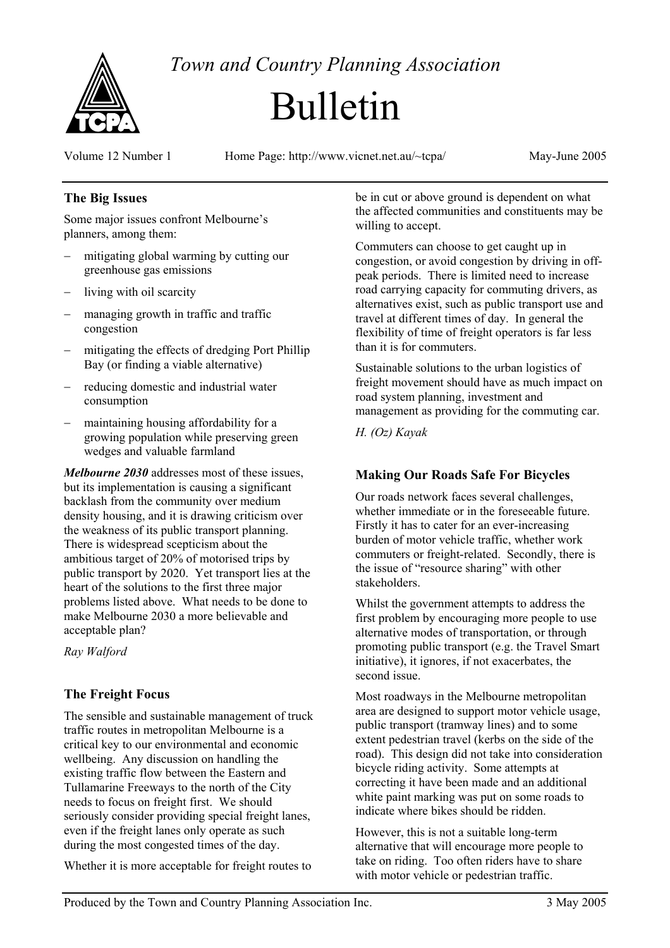

*Town and Country Planning Association*

# Bulletin

Volume 12 Number 1 Home Page: http://www.vicnet.net.au/~tcpa/ May-June 2005

### **The Big Issues**

Some major issues confront Melbourne's planners, among them:

- − mitigating global warming by cutting our greenhouse gas emissions
- − living with oil scarcity
- managing growth in traffic and traffic congestion
- − mitigating the effects of dredging Port Phillip Bay (or finding a viable alternative)
- − reducing domestic and industrial water consumption
- maintaining housing affordability for a growing population while preserving green wedges and valuable farmland

*Melbourne 2030* addresses most of these issues, but its implementation is causing a significant backlash from the community over medium density housing, and it is drawing criticism over the weakness of its public transport planning. There is widespread scepticism about the ambitious target of 20% of motorised trips by public transport by 2020. Yet transport lies at the heart of the solutions to the first three major problems listed above. What needs to be done to make Melbourne 2030 a more believable and acceptable plan?

*Ray Walford* 

#### **The Freight Focus**

The sensible and sustainable management of truck traffic routes in metropolitan Melbourne is a critical key to our environmental and economic wellbeing. Any discussion on handling the existing traffic flow between the Eastern and Tullamarine Freeways to the north of the City needs to focus on freight first. We should seriously consider providing special freight lanes, even if the freight lanes only operate as such during the most congested times of the day.

Whether it is more acceptable for freight routes to

be in cut or above ground is dependent on what the affected communities and constituents may be willing to accept.

Commuters can choose to get caught up in congestion, or avoid congestion by driving in offpeak periods. There is limited need to increase road carrying capacity for commuting drivers, as alternatives exist, such as public transport use and travel at different times of day. In general the flexibility of time of freight operators is far less than it is for commuters.

Sustainable solutions to the urban logistics of freight movement should have as much impact on road system planning, investment and management as providing for the commuting car.

*H. (Oz) Kayak* 

## **Making Our Roads Safe For Bicycles**

Our roads network faces several challenges, whether immediate or in the foreseeable future. Firstly it has to cater for an ever-increasing burden of motor vehicle traffic, whether work commuters or freight-related. Secondly, there is the issue of "resource sharing" with other stakeholders.

Whilst the government attempts to address the first problem by encouraging more people to use alternative modes of transportation, or through promoting public transport (e.g. the Travel Smart initiative), it ignores, if not exacerbates, the second issue.

Most roadways in the Melbourne metropolitan area are designed to support motor vehicle usage, public transport (tramway lines) and to some extent pedestrian travel (kerbs on the side of the road). This design did not take into consideration bicycle riding activity. Some attempts at correcting it have been made and an additional white paint marking was put on some roads to indicate where bikes should be ridden.

However, this is not a suitable long-term alternative that will encourage more people to take on riding. Too often riders have to share with motor vehicle or pedestrian traffic.